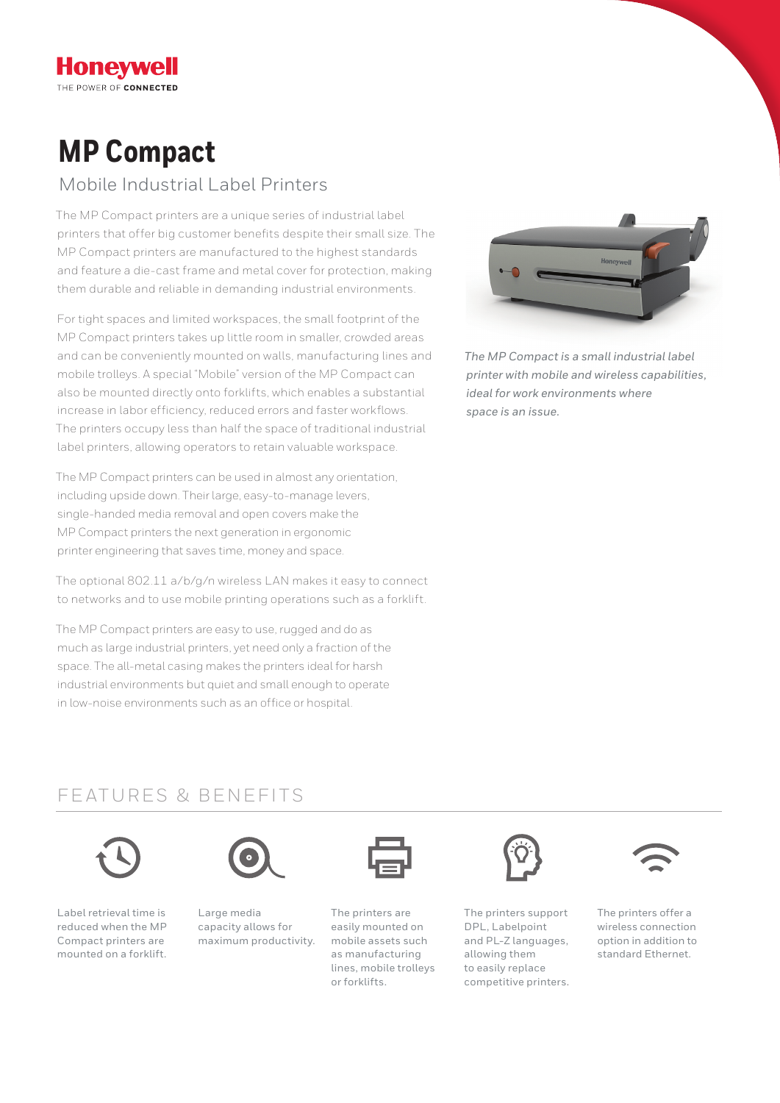# **MP Compact**

**Honeywell** THE POWER OF CONNECTED

### Mobile Industrial Label Printers

The MP Compact printers are a unique series of industrial label printers that offer big customer benefits despite their small size. The MP Compact printers are manufactured to the highest standards and feature a die-cast frame and metal cover for protection, making them durable and reliable in demanding industrial environments.

For tight spaces and limited workspaces, the small footprint of the MP Compact printers takes up little room in smaller, crowded areas and can be conveniently mounted on walls, manufacturing lines and mobile trolleys. A special "Mobile" version of the MP Compact can also be mounted directly onto forklifts, which enables a substantial increase in labor efficiency, reduced errors and faster workflows. The printers occupy less than half the space of traditional industrial label printers, allowing operators to retain valuable workspace.

The MP Compact printers can be used in almost any orientation, including upside down. Their large, easy-to-manage levers, single-handed media removal and open covers make the MP Compact printers the next generation in ergonomic printer engineering that saves time, money and space.

The optional 802.11 a/b/g/n wireless LAN makes it easy to connect to networks and to use mobile printing operations such as a forklift.

The MP Compact printers are easy to use, rugged and do as much as large industrial printers, yet need only a fraction of the space. The all-metal casing makes the printers ideal for harsh industrial environments but quiet and small enough to operate in low-noise environments such as an office or hospital.



*The MP Compact is a small industrial label printer with mobile and wireless capabilities, ideal for work environments where space is an issue.*

### FEATURES & BENEFITS



Label retrieval time is reduced when the MP Compact printers are mounted on a forklift.



Large media capacity allows for maximum productivity.

The printers are easily mounted on mobile assets such as manufacturing lines, mobile trolleys or forklifts.



The printers support DPL, Labelpoint and PL-Z languages, allowing them to easily replace competitive printers.



The printers offer a wireless connection option in addition to standard Ethernet.